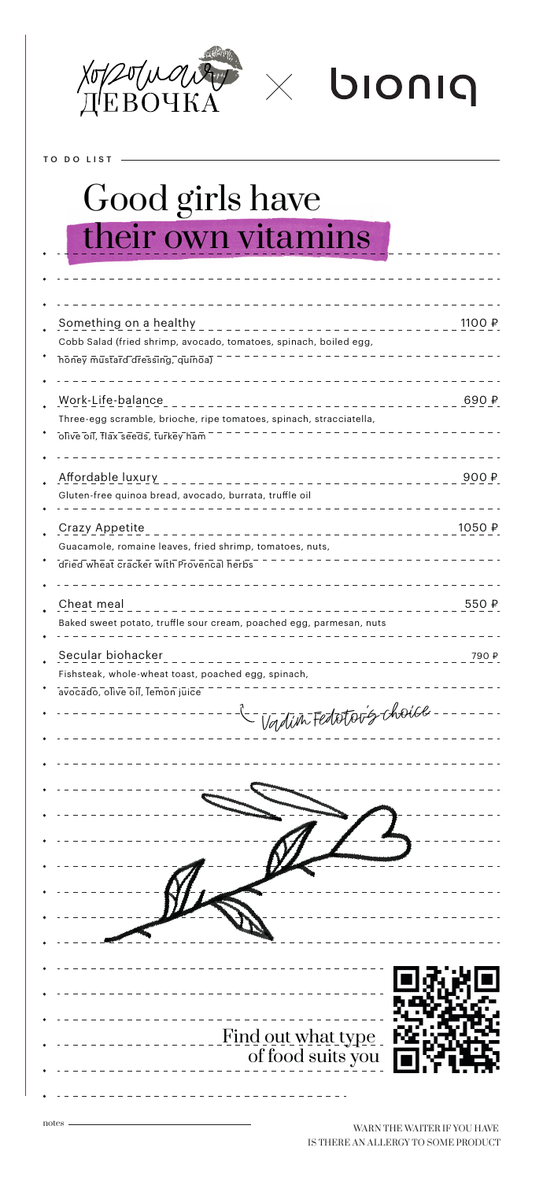

 $\times$  bioniq

TO DO LIST

## Good girls have their own vitamins

| Something on a healthy<br>1100 ₽<br>Cobb Salad (fried shrimp, avocado, tomatoes, spinach, boiled egg,<br>honey mustard dressing, quinoa)         |
|--------------------------------------------------------------------------------------------------------------------------------------------------|
| Work-Life-balance<br>690 ₽<br>.<br>Three-egg scramble, brioche, ripe tomatoes, spinach, stracciatella,<br>olive oil, flax seeds, turkey ham      |
| Affordable luxury<br>900P<br>_ _ _ _ _ _ _ _ _ _ _ _ _ _ _ _ _<br>Gluten-free quinoa bread, avocado, burrata, truffle oil                        |
| Crazy Appetite<br>1050 ₽<br>.<br>Guacamole, romaine leaves, fried shrimp, tomatoes, nuts,<br>dried wheat cracker with Provencal herbs            |
| Cheat meal<br>550 ₽<br>Baked sweet potato, truffle sour cream, poached egg, parmesan, nuts                                                       |
| Secular biohacker<br>790 ₽<br>Fishsteak, whole-wheat toast, poached egg, spinach,<br>avocado, olive oil, lemon juice<br>- Vadin Fedetor's choice |
|                                                                                                                                                  |
| Find out what type<br>of food suits you                                                                                                          |